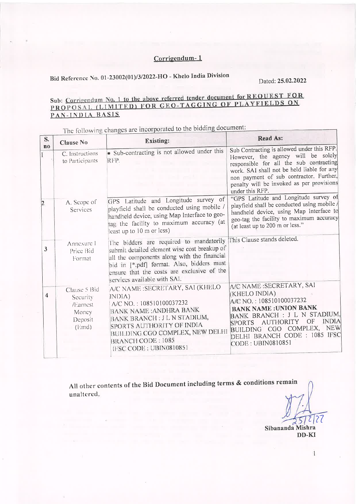## Corrigendum-1

## Bid Reference No. 01-23002(01)/3/2022-HO - Khelo India Division

 $\mathbf{I}$ 

Dated: 25.02.2022

## Sub: Corrigendum No. 1 to the above referred tender document for REOUEST FOR PROPOSAL (LIMITED) FOR GEO-TAGGING OF PLAYFIELDS ON PAN-INDIA BASIS

The following changes are incorporated to the bidding document: **Read As:** S. **Existing: Clause No**  $\mathbf{n}$ o Sub Contracting is allowed under this RFP. · Sub-contracting is not allowed under this C. Instructions However, the agency will be solely to Participants RFP. responsible for all the sub contracting work. SAI shall not be held liable for any non payment of sub contractor. Further, penalty will be invoked as per provisions under this RFP. GPS Latitude and Longitude survey of "GPS Latitude and Longitude survey of  $A$  Comp of

|   | $T$ , devine of<br>Services                                                | playfield shall be conducted using mobile /<br>handheld device, using Map Interface to geo-<br>tag the facility to maximum accuracy (at<br>least up to 10 m or less)                                                                                                                          | playfield shall be conducted using mobile /<br>handheld device, using Map Interface to<br>geo-tag the facility to maximum accuracy<br>(at least up to 200 m or less."                                                                                            |  |
|---|----------------------------------------------------------------------------|-----------------------------------------------------------------------------------------------------------------------------------------------------------------------------------------------------------------------------------------------------------------------------------------------|------------------------------------------------------------------------------------------------------------------------------------------------------------------------------------------------------------------------------------------------------------------|--|
| 3 | Annexure I<br>Price Bid<br>Format                                          | The bidders are required to mandatorily This Clause stands deleted.<br>submit detailed element wise cost breakup of<br>all the components along with the financial<br>bid in [*.pdf] format. Also, bidders must<br>ensure that the costs are exclusive of the<br>services available with SAI. |                                                                                                                                                                                                                                                                  |  |
| 4 | Clause 5 Bid<br>Security<br>/Earnest<br>Money<br>Deposit<br>$(\text{End})$ | A/C NAME: SECRETARY, SAI (KHELO<br>INDIA)<br>A/C NO.: 108510100037232<br><b>BANK NAME: ANDHRA BANK</b><br><b>BANK BRANCH: JL N STADIUM,</b><br>SPORTS AUTHORITY OF INDIA<br>BUILDING CGO COMPLEX, NEW DELHI<br>BRANCH CODE: 1085<br>IFSC CODE: UBIN0810851                                    | A/C NAME : SECRETARY, SAI<br>(KHELO INDIA)<br>A/C NO.: 108510100037232<br><b>BANK NAME: UNION BANK</b><br>BANK BRANCH : J L N STADIUM.<br><b>INDIA</b><br>SPORTS AUTHORITY OF<br>BUILDING CGO COMPLEX, NEW<br>DELHI BRANCH CODE : 1085 IFSC<br>CODE: UBIN0810851 |  |

All other contents of the Bid Document including terms & conditions remain unaltered.

Sibananda Mishra

DD-KI

 $\overline{1}$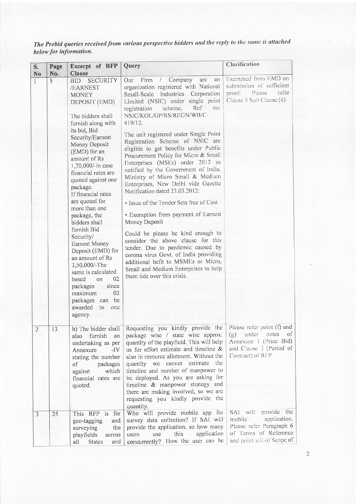| S.<br>N <sub>o</sub> | Page<br>No. | Excerpt of RFP<br><b>Clause</b>                                                                                                                                                                                                                                                                                   | Query                                                                                                                                                                                                                                                                                                                                                                                                                                                   | Clarification                                                                                                                      |
|----------------------|-------------|-------------------------------------------------------------------------------------------------------------------------------------------------------------------------------------------------------------------------------------------------------------------------------------------------------------------|---------------------------------------------------------------------------------------------------------------------------------------------------------------------------------------------------------------------------------------------------------------------------------------------------------------------------------------------------------------------------------------------------------------------------------------------------------|------------------------------------------------------------------------------------------------------------------------------------|
| $\mathbf{1}$         | 5           | <b>BID SECURITY</b><br>/EARNEST<br><b>MONEY</b><br>DEPOSIT (EMD)<br>The bidders shall<br>furnish along with                                                                                                                                                                                                       | Firm<br>Company<br>Our<br>arc<br>an<br>$\sqrt{2}$<br>organization registered with National<br>Industries Corporation<br>Small-Scale<br>Limited (NSIC) under single point<br>Ref<br>scheme,<br>no:<br>registration<br>NSIC/KOL/GP/RS/REGN/WB/C-<br>419/12.                                                                                                                                                                                               | Exempted from EMD on<br>submission of sufficient<br>refer<br>proof. Please<br>Clause 5 Sub Clause (4)                              |
|                      |             | its bid, Bid<br>Security/Earnest<br>Money Deposit<br>(EMD) for an<br>amount of Rs<br>1,70,000/-in case<br>financial rates are<br>quoted against one<br>package.<br>If financial rates                                                                                                                             | The unit registered under Single Point<br>Registration Scheme of NSIC arc<br>eligible to get benefits under Public<br>Procurement Policy for Micro & Small<br>Enterprises (MSEs) order 2012 as<br>notified by the Government of India,<br>Ministry of Micro Small & Medium<br>Enterprises, New Delhi vide Gazette<br>Notification dated 23.03.2012:                                                                                                     |                                                                                                                                    |
|                      |             | are quoted for<br>more than one<br>package, the<br>bidders shall<br>furnish Bid<br>Security/<br><b>Earnest Money</b><br>Deposit (EMD) for<br>an amount of Rs<br>3,50,000/-The<br>same is calculated<br>02<br>based<br>on<br>since<br>packages<br>02<br>maximum<br>packages can be<br>awarded to<br>one<br>agency. | • Issue of the Tender Sets free of Cost<br>· Exemption from payment of Earnest<br>Money Deposit<br>Could be please be kind enough to<br>consider the above clause for this<br>tender. Due to pandemic caused by<br>corona virus Govt. of India providing<br>additional befit to MSMEs or Micro,<br>Small and Medium Enterprises to help<br>them tide over this crisis.                                                                                  |                                                                                                                                    |
| $\overline{2}$       | 13          | b) The bidder shall<br>furnish<br>also<br>an<br>undertaking as per<br>$-IV$<br>Annexure<br>stating the number<br>packages<br>of<br>which<br>against<br>financial rates are<br>quoted.                                                                                                                             | Requesting you kindly provide the<br>package wise / state wise approx.<br>quantity of the playfield. This will help<br>us for effort estimate and timeline &<br>also in resource allotment. Without the<br>quantity we cannot estimate<br>the<br>timeline and number of manpower to<br>be deployed. As you are asking for<br>timeline & manpower strategy and<br>there are making involved, so we are<br>requesting you kindly provide the<br>quantity. | Please refer point (f) and<br>of<br>under<br>notes<br>(g)<br>Annexure I (Price Bid)<br>and Clause 3 (Period of<br>Contract) of RFP |
| $\overline{3}$       | 25          | This RFP is for<br>and<br>geo-tagging<br>the<br>surveying<br>playfields<br>across<br><b>States</b><br>and<br>all                                                                                                                                                                                                  | Who will provide mobile app for<br>survey data collection? If SAI will<br>provide the application, so how many<br>application<br>this<br>use<br>users<br>concurrently? How the user can be                                                                                                                                                                                                                                                              | SAI will provide the<br>application.<br>mobile<br>Please refer Paragraph 6<br>of Terms of Reference<br>and point xiii of Scope of  |

The Prebid queries received from various perspective bidders and the reply to the same is attached below for information.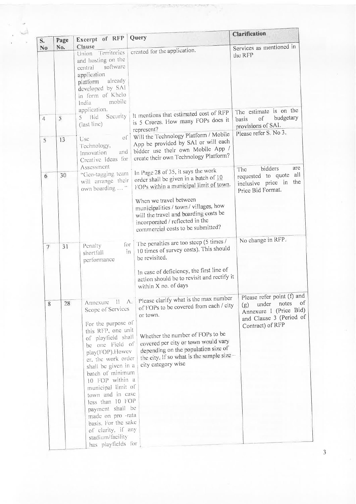| S.             | Page | Excerpt of RFP                                                                                                                                                                                                                    | Query                                                                                                                                                                                                                                                                            | <b>Clarification</b>                                                                                                               |
|----------------|------|-----------------------------------------------------------------------------------------------------------------------------------------------------------------------------------------------------------------------------------|----------------------------------------------------------------------------------------------------------------------------------------------------------------------------------------------------------------------------------------------------------------------------------|------------------------------------------------------------------------------------------------------------------------------------|
| N <sub>o</sub> | No.  | Clause                                                                                                                                                                                                                            |                                                                                                                                                                                                                                                                                  | Services as mentioned in                                                                                                           |
|                |      | Union Territories<br>and hosting on the<br>software<br>central<br>application<br>already<br>platform<br>developed by SAI<br>in form of Khelo<br>mobile<br>India                                                                   | created for the application.                                                                                                                                                                                                                                                     | the RFP                                                                                                                            |
|                |      | application.<br>Security<br>$5$ Bid                                                                                                                                                                                               | It mentions that estimated cost of RFP                                                                                                                                                                                                                                           | The estimate is on the                                                                                                             |
| $\overline{4}$ | 5    | (last line)                                                                                                                                                                                                                       | is 5 Crores. How many FOPs does it<br>represent?                                                                                                                                                                                                                                 | budgetary<br>of<br>basis<br>provisions of SAI.                                                                                     |
| 5              | 13   | $\sigma$<br>Use<br>Technology,<br>and<br>Innovation<br>Creative Ideas for                                                                                                                                                         | Will the Technology Platform / Mobile<br>App be provided by SAI or will each<br>bidder use their own Mobile App /<br>create their own Technology Platform?                                                                                                                       | Please refer S. No 3.                                                                                                              |
| 6              | 30   | Assessment<br>"Geo-tagging team<br>will arrange their<br>own boarding  "                                                                                                                                                          | In Page 28 of 35, it says the work<br>order shall be given in a batch of 10<br>FOPs within a municipal limit of town.                                                                                                                                                            | bidders<br>are<br>The<br>requested to quote all<br>inclusive price in the<br>Price Bid Format.                                     |
|                |      |                                                                                                                                                                                                                                   | When we travel between<br>municipalitics / town / villages, how<br>will the travel and boarding costs be<br>incorporated / reflected in the<br>commercial costs to be submitted?                                                                                                 |                                                                                                                                    |
| $7\phantom{.}$ | 31   | for<br>Penalty<br>in<br>shortfall<br>performance                                                                                                                                                                                  | The penalties are too steep (5 times /<br>10 times of survey costs). This should<br>be revisited.                                                                                                                                                                                | No change in RFP.                                                                                                                  |
|                |      |                                                                                                                                                                                                                                   | In case of deficiency, the first line of<br>action should be to revisit and rectify it<br>within X no. of days                                                                                                                                                                   |                                                                                                                                    |
| 8              | 28   | $-\Delta z$<br>$\mathbf{H}$<br>Annexure<br>Scope of Services<br>For the purpose of<br>this RFP, one unit<br>of playfield shall<br>be one Field of<br>play(FOP).Howev<br>er, the work order<br>shall be given in a                 | Please clarify what is the max number<br>of FOPs to be covered from each / city<br>or town.<br>Whether the number of FOPs to be<br>covered per city or town would vary<br>depending on the population size of<br>the city. If so what is the sample size -<br>city category wise | Please refer point (f) and<br>of<br>notes<br>under<br>(g)<br>Annexure I (Price Bid)<br>and Clause 3 (Period of<br>Contract) of RFP |
|                |      | batch of minimum<br>10 FOP within a<br>municipal limit of<br>town and in case<br>less than 10 FOP<br>payment shall be<br>made on pro -rata<br>basis. For the sake<br>of clarity, if any<br>stadium/facility<br>has playfields for |                                                                                                                                                                                                                                                                                  |                                                                                                                                    |

ات

 $\overline{3}$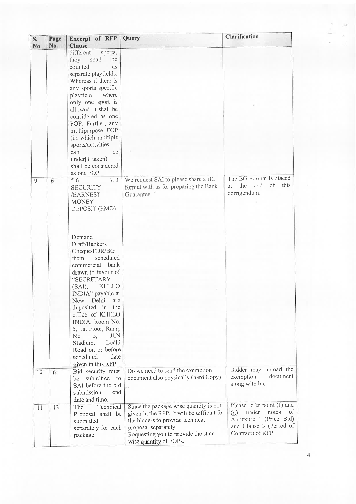| S.<br><b>No</b> | Page<br>No. | Excerpt of RFP<br><b>Clause</b>                                                                                                                                                                                                                                                                                                                                                     | Query                                                                                                                                                                                                             | Clarification                                                                                                                      |
|-----------------|-------------|-------------------------------------------------------------------------------------------------------------------------------------------------------------------------------------------------------------------------------------------------------------------------------------------------------------------------------------------------------------------------------------|-------------------------------------------------------------------------------------------------------------------------------------------------------------------------------------------------------------------|------------------------------------------------------------------------------------------------------------------------------------|
|                 |             | different<br>sports,<br>shall<br>they<br>be<br>counted<br>as<br>separate playfields.<br>Whereas if there is<br>any sports specific<br>playfield<br>where<br>only one sport is<br>allowed, it shall be<br>considered as one<br>FOP. Further, any<br>multipurpose FOP<br>(in which multiple<br>sports/activities<br>be<br>can<br>under[1]taken)<br>shall be considered<br>as one FOP. |                                                                                                                                                                                                                   |                                                                                                                                    |
| 9               | 6           | <b>BID</b><br>5.6<br><b>SECURITY</b><br>/EARNEST<br><b>MONEY</b><br>DEPOSIT (EMD)                                                                                                                                                                                                                                                                                                   | We request SAI to please share a BG<br>format with us for preparing the Bank<br>Guarantee                                                                                                                         | The BG Format is placed<br>of this<br>end<br>the<br>at<br>corrigendum.                                                             |
|                 |             | Demand<br>Draft/Bankers<br>Cheque/FDR/BG<br>scheduled<br>from<br>commercial bank<br>drawn in favour of<br>"SECRETARY<br>KHELO<br>$(SAI)$ ,<br>INDIA" payable at<br>New Delhi are<br>deposited in the<br>office of KHELO<br>INDIA, Room No.<br>5, 1st Floor, Ramp<br>5,<br>JLN<br>No.<br>Lodhi<br>Stadium,<br>Road on or before<br>scheduled<br>date<br>given in this RFP            |                                                                                                                                                                                                                   |                                                                                                                                    |
| 10              | 6           | Bid security must<br>submitted<br>to<br>be<br>SAI before the bid<br>submission<br>end<br>date and time.                                                                                                                                                                                                                                                                             | Do we need to send the exemption<br>document also physically (hard Copy)                                                                                                                                          | Bidder may upload the<br>document<br>exemption<br>along with bid.                                                                  |
| 11              | 13          | Technical<br>The<br>Proposal shall be<br>submitted<br>separately for each<br>package.                                                                                                                                                                                                                                                                                               | Since the package wise quantity is not<br>given in the RFP. It will be difficult for<br>the bidders to provide technical<br>proposal separately.<br>Requesting you to provide the state<br>wise quantity of FOPs. | Please refer point (f) and<br>under<br>notes<br>of<br>(g)<br>Annexure I (Price Bid)<br>and Clause 3 (Period of<br>Contract) of RFP |

Ŷ,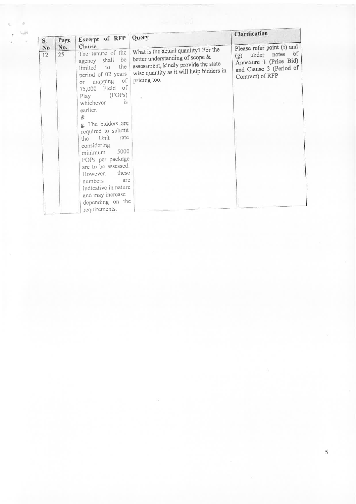| S.       | Page<br>No. | Excerpt of RFP Query<br>Clause                                                                                                                                                                                                                                                                                                                                                                                                                                       |                                                                                                                                                                             | Clarification                                                                                                                       |
|----------|-------------|----------------------------------------------------------------------------------------------------------------------------------------------------------------------------------------------------------------------------------------------------------------------------------------------------------------------------------------------------------------------------------------------------------------------------------------------------------------------|-----------------------------------------------------------------------------------------------------------------------------------------------------------------------------|-------------------------------------------------------------------------------------------------------------------------------------|
| No<br>12 | 25          | The tenure of the<br>agency shall be<br>the<br>limited to<br>period of 02 years<br>$\circ$<br>or mapping<br>75,000 Field of<br>(FOPs)<br>Play<br>$\overline{1}S$<br>whichever<br>earlier.<br>&.<br>g. The bidders are<br>required to submit<br>rate<br>the Unit<br>considering<br>5000<br>minimum<br>FOPs per package<br>are to be assessed.<br>these<br>However,<br>numbers<br>arc<br>indicative in nature<br>and may increase<br>depending on the<br>requirements. | What is the actual quantity? For the<br>better understanding of scope &<br>assessment, kindly provide the state<br>wise quantity as it will help bidders in<br>pricing too. | Please refer point (f) and<br>$\circ$ f<br>(g) under notes<br>Annexure 1 (Price Bid)<br>and Clause 3 (Period of<br>Contract) of RFP |